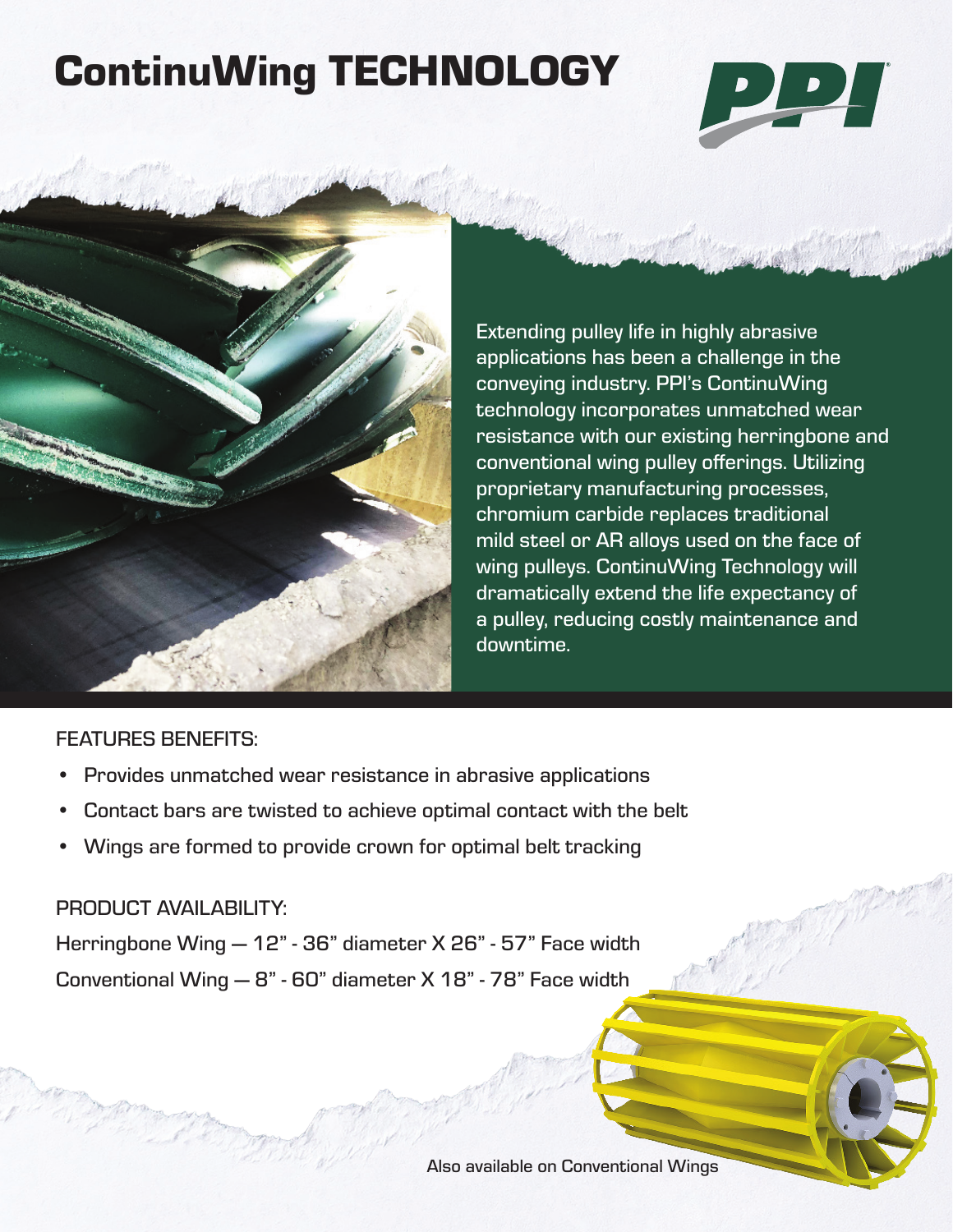# ContinuWing TECHNOLOGY





Extending pulley life in highly abrasive applications has been a challenge in the conveying industry. PPI's ContinuWing technology incorporates unmatched wear resistance with our existing herringbone and conventional wing pulley offerings. Utilizing proprietary manufacturing processes, chromium carbide replaces traditional mild steel or AR alloys used on the face of wing pulleys. ContinuWing Technology will dramatically extend the life expectancy of a pulley, reducing costly maintenance and downtime.

## FEATURES BENEFITS:

- Provides unmatched wear resistance in abrasive applications
- Contact bars are twisted to achieve optimal contact with the belt
- Wings are formed to provide crown for optimal belt tracking

#### PRODUCT AVAILABILITY:

Herringbone Wing — 12" - 36" diameter X 26" - 57" Face width Conventional Wing — 8" - 60" diameter X 18" - 78" Face width

Also available on Conventional Wings